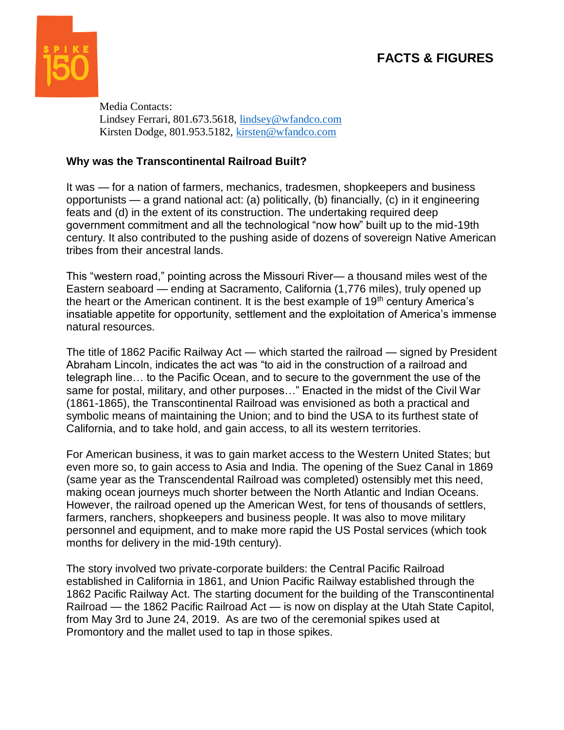## **FACTS & FIGURES**



Media Contacts: Lindsey Ferrari, 801.673.5618, [lindsey@wfandco.com](mailto:lindsey@wfandco.com) Kirsten Dodge, 801.953.5182, [kirsten@wfandco.com](mailto:kirsten@wfandco.com)

## **Why was the Transcontinental Railroad Built?**

It was — for a nation of farmers, mechanics, tradesmen, shopkeepers and business opportunists — a grand national act: (a) politically, (b) financially, (c) in it engineering feats and (d) in the extent of its construction. The undertaking required deep government commitment and all the technological "now how" built up to the mid-19th century. It also contributed to the pushing aside of dozens of sovereign Native American tribes from their ancestral lands.

This "western road," pointing across the Missouri River— a thousand miles west of the Eastern seaboard — ending at Sacramento, California (1,776 miles), truly opened up the heart or the American continent. It is the best example of  $19<sup>th</sup>$  century America's insatiable appetite for opportunity, settlement and the exploitation of America's immense natural resources.

The title of 1862 Pacific Railway Act — which started the railroad — signed by President Abraham Lincoln, indicates the act was "to aid in the construction of a railroad and telegraph line… to the Pacific Ocean, and to secure to the government the use of the same for postal, military, and other purposes…" Enacted in the midst of the Civil War (1861-1865), the Transcontinental Railroad was envisioned as both a practical and symbolic means of maintaining the Union; and to bind the USA to its furthest state of California, and to take hold, and gain access, to all its western territories.

For American business, it was to gain market access to the Western United States; but even more so, to gain access to Asia and India. The opening of the Suez Canal in 1869 (same year as the Transcendental Railroad was completed) ostensibly met this need, making ocean journeys much shorter between the North Atlantic and Indian Oceans. However, the railroad opened up the American West, for tens of thousands of settlers, farmers, ranchers, shopkeepers and business people. It was also to move military personnel and equipment, and to make more rapid the US Postal services (which took months for delivery in the mid-19th century).

The story involved two private-corporate builders: the Central Pacific Railroad established in California in 1861, and Union Pacific Railway established through the 1862 Pacific Railway Act. The starting document for the building of the Transcontinental Railroad — the 1862 Pacific Railroad Act — is now on display at the Utah State Capitol, from May 3rd to June 24, 2019. As are two of the ceremonial spikes used at Promontory and the mallet used to tap in those spikes.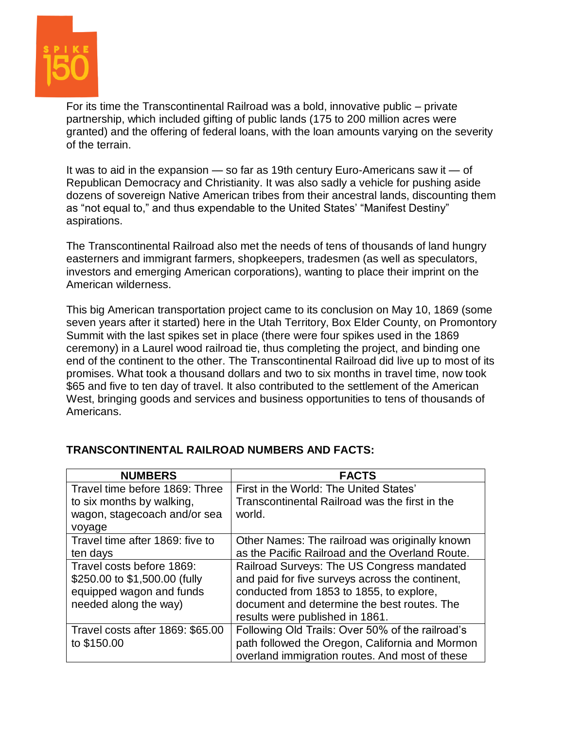

For its time the Transcontinental Railroad was a bold, innovative public – private partnership, which included gifting of public lands (175 to 200 million acres were granted) and the offering of federal loans, with the loan amounts varying on the severity of the terrain.

It was to aid in the expansion — so far as 19th century Euro-Americans saw it — of Republican Democracy and Christianity. It was also sadly a vehicle for pushing aside dozens of sovereign Native American tribes from their ancestral lands, discounting them as "not equal to," and thus expendable to the United States' "Manifest Destiny" aspirations.

The Transcontinental Railroad also met the needs of tens of thousands of land hungry easterners and immigrant farmers, shopkeepers, tradesmen (as well as speculators, investors and emerging American corporations), wanting to place their imprint on the American wilderness.

This big American transportation project came to its conclusion on May 10, 1869 (some seven years after it started) here in the Utah Territory, Box Elder County, on Promontory Summit with the last spikes set in place (there were four spikes used in the 1869 ceremony) in a Laurel wood railroad tie, thus completing the project, and binding one end of the continent to the other. The Transcontinental Railroad did live up to most of its promises. What took a thousand dollars and two to six months in travel time, now took \$65 and five to ten day of travel. It also contributed to the settlement of the American West, bringing goods and services and business opportunities to tens of thousands of Americans.

| <b>NUMBERS</b>                   | <b>FACTS</b>                                     |
|----------------------------------|--------------------------------------------------|
| Travel time before 1869: Three   | First in the World: The United States'           |
| to six months by walking,        | Transcontinental Railroad was the first in the   |
| wagon, stagecoach and/or sea     | world.                                           |
| voyage                           |                                                  |
| Travel time after 1869: five to  | Other Names: The railroad was originally known   |
| ten days                         | as the Pacific Railroad and the Overland Route.  |
| Travel costs before 1869:        | Railroad Surveys: The US Congress mandated       |
| \$250.00 to \$1,500.00 (fully    | and paid for five surveys across the continent,  |
| equipped wagon and funds         | conducted from 1853 to 1855, to explore,         |
| needed along the way)            | document and determine the best routes. The      |
|                                  | results were published in 1861.                  |
| Travel costs after 1869: \$65.00 | Following Old Trails: Over 50% of the railroad's |
| to \$150.00                      | path followed the Oregon, California and Mormon  |
|                                  | overland immigration routes. And most of these   |

## **TRANSCONTINENTAL RAILROAD NUMBERS AND FACTS:**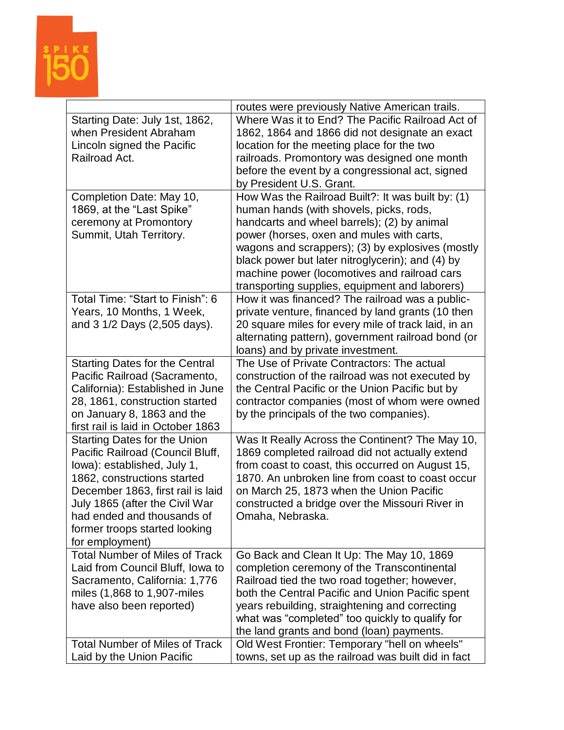

|                                       | routes were previously Native American trails.      |
|---------------------------------------|-----------------------------------------------------|
| Starting Date: July 1st, 1862,        | Where Was it to End? The Pacific Railroad Act of    |
| when President Abraham                | 1862, 1864 and 1866 did not designate an exact      |
| Lincoln signed the Pacific            | location for the meeting place for the two          |
| Railroad Act.                         | railroads. Promontory was designed one month        |
|                                       | before the event by a congressional act, signed     |
|                                       | by President U.S. Grant.                            |
| Completion Date: May 10,              | How Was the Railroad Built?: It was built by: (1)   |
| 1869, at the "Last Spike"             | human hands (with shovels, picks, rods,             |
| ceremony at Promontory                | handcarts and wheel barrels); (2) by animal         |
| Summit, Utah Territory.               | power (horses, oxen and mules with carts,           |
|                                       | wagons and scrappers); (3) by explosives (mostly    |
|                                       | black power but later nitroglycerin); and (4) by    |
|                                       | machine power (locomotives and railroad cars        |
|                                       | transporting supplies, equipment and laborers)      |
| Total Time: "Start to Finish": 6      | How it was financed? The railroad was a public-     |
| Years, 10 Months, 1 Week,             | private venture, financed by land grants (10 then   |
| and 3 1/2 Days (2,505 days).          | 20 square miles for every mile of track laid, in an |
|                                       | alternating pattern), government railroad bond (or  |
|                                       | loans) and by private investment.                   |
| <b>Starting Dates for the Central</b> | The Use of Private Contractors: The actual          |
| Pacific Railroad (Sacramento,         | construction of the railroad was not executed by    |
| California): Established in June      | the Central Pacific or the Union Pacific but by     |
| 28, 1861, construction started        | contractor companies (most of whom were owned       |
| on January 8, 1863 and the            | by the principals of the two companies).            |
| first rail is laid in October 1863    |                                                     |
| <b>Starting Dates for the Union</b>   | Was It Really Across the Continent? The May 10,     |
| Pacific Railroad (Council Bluff,      | 1869 completed railroad did not actually extend     |
| lowa): established, July 1,           | from coast to coast, this occurred on August 15,    |
| 1862, constructions started           | 1870. An unbroken line from coast to coast occur    |
| December 1863, first rail is laid     | on March 25, 1873 when the Union Pacific            |
| July 1865 (after the Civil War        | constructed a bridge over the Missouri River in     |
| had ended and thousands of            | Omaha, Nebraska.                                    |
| former troops started looking         |                                                     |
| for employment)                       |                                                     |
| <b>Total Number of Miles of Track</b> | Go Back and Clean It Up: The May 10, 1869           |
| Laid from Council Bluff, Iowa to      | completion ceremony of the Transcontinental         |
| Sacramento, California: 1,776         | Railroad tied the two road together; however,       |
| miles (1,868 to 1,907-miles           | both the Central Pacific and Union Pacific spent    |
| have also been reported)              | years rebuilding, straightening and correcting      |
|                                       | what was "completed" too quickly to qualify for     |
|                                       | the land grants and bond (loan) payments.           |
| <b>Total Number of Miles of Track</b> | Old West Frontier: Temporary "hell on wheels"       |
| Laid by the Union Pacific             | towns, set up as the railroad was built did in fact |